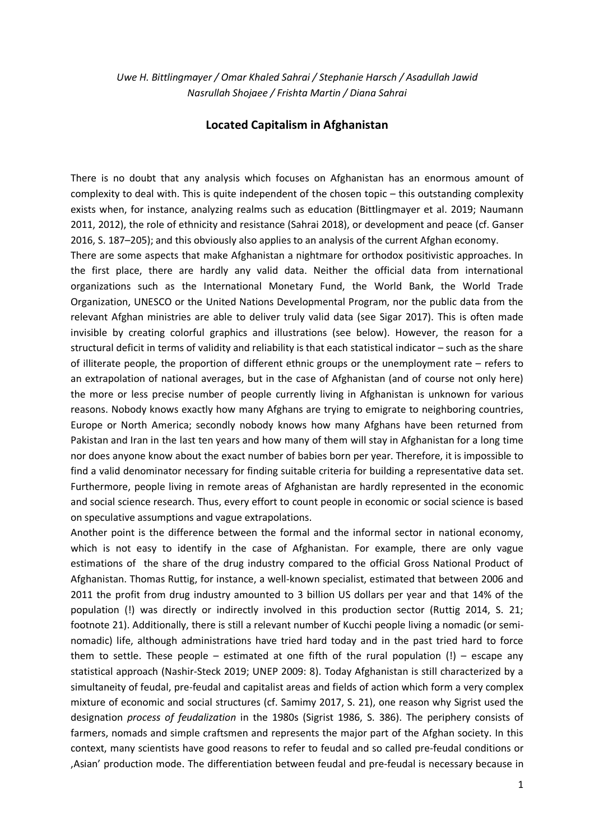*Uwe H. Bittlingmayer / Omar Khaled Sahrai / Stephanie Harsch / Asadullah Jawid Nasrullah Shojaee / Frishta Martin / Diana Sahrai*

## **Located Capitalism in Afghanistan**

There is no doubt that any analysis which focuses on Afghanistan has an enormous amount of complexity to deal with. This is quite independent of the chosen topic – this outstanding complexity exists when, for instance, analyzing realms such as education (Bittlingmayer et al. 2019; Naumann 2011, 2012), the role of ethnicity and resistance (Sahrai 2018), or development and peace (cf. Ganser 2016, S. 187–205); and this obviously also applies to an analysis of the current Afghan economy.

There are some aspects that make Afghanistan a nightmare for orthodox positivistic approaches. In the first place, there are hardly any valid data. Neither the official data from international organizations such as the International Monetary Fund, the World Bank, the World Trade Organization, UNESCO or the United Nations Developmental Program, nor the public data from the relevant Afghan ministries are able to deliver truly valid data (see Sigar 2017). This is often made invisible by creating colorful graphics and illustrations (see below). However, the reason for a structural deficit in terms of validity and reliability is that each statistical indicator – such as the share of illiterate people, the proportion of different ethnic groups or the unemployment rate – refers to an extrapolation of national averages, but in the case of Afghanistan (and of course not only here) the more or less precise number of people currently living in Afghanistan is unknown for various reasons. Nobody knows exactly how many Afghans are trying to emigrate to neighboring countries, Europe or North America; secondly nobody knows how many Afghans have been returned from Pakistan and Iran in the last ten years and how many of them will stay in Afghanistan for a long time nor does anyone know about the exact number of babies born per year. Therefore, it is impossible to find a valid denominator necessary for finding suitable criteria for building a representative data set. Furthermore, people living in remote areas of Afghanistan are hardly represented in the economic and social science research. Thus, every effort to count people in economic or social science is based on speculative assumptions and vague extrapolations.

Another point is the difference between the formal and the informal sector in national economy, which is not easy to identify in the case of Afghanistan. For example, there are only vague estimations of the share of the drug industry compared to the official Gross National Product of Afghanistan. Thomas Ruttig, for instance, a well-known specialist, estimated that between 2006 and 2011 the profit from drug industry amounted to 3 billion US dollars per year and that 14% of the population (!) was directly or indirectly involved in this production sector (Ruttig 2014, S. 21; footnote 21). Additionally, there is still a relevant number of Kucchi people living a nomadic (or seminomadic) life, although administrations have tried hard today and in the past tried hard to force them to settle. These people – estimated at one fifth of the rural population  $(!)$  – escape any statistical approach (Nashir-Steck 2019; UNEP 2009: 8). Today Afghanistan is still characterized by a simultaneity of feudal, pre-feudal and capitalist areas and fields of action which form a very complex mixture of economic and social structures (cf. Samimy 2017, S. 21), one reason why Sigrist used the designation *process of feudalization* in the 1980s (Sigrist 1986, S. 386). The periphery consists of farmers, nomads and simple craftsmen and represents the major part of the Afghan society. In this context, many scientists have good reasons to refer to feudal and so called pre-feudal conditions or 'Asian' production mode. The differentiation between feudal and pre-feudal is necessary because in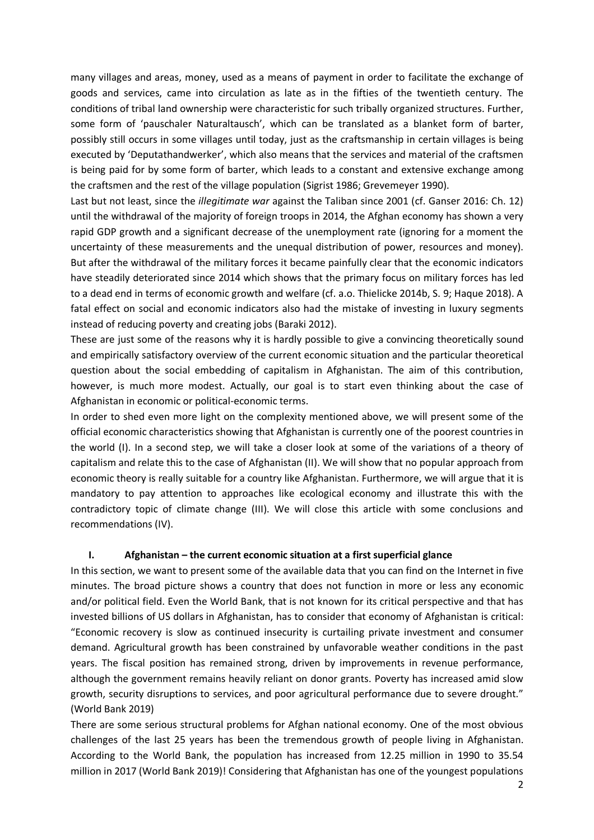many villages and areas, money, used as a means of payment in order to facilitate the exchange of goods and services, came into circulation as late as in the fifties of the twentieth century. The conditions of tribal land ownership were characteristic for such tribally organized structures. Further, some form of 'pauschaler Naturaltausch', which can be translated as a blanket form of barter, possibly still occurs in some villages until today, just as the craftsmanship in certain villages is being executed by 'Deputathandwerker', which also means that the services and material of the craftsmen is being paid for by some form of barter, which leads to a constant and extensive exchange among the craftsmen and the rest of the village population (Sigrist 1986; Grevemeyer 1990).

Last but not least, since the *illegitimate war* against the Taliban since 2001 (cf. Ganser 2016: Ch. 12) until the withdrawal of the majority of foreign troops in 2014, the Afghan economy has shown a very rapid GDP growth and a significant decrease of the unemployment rate (ignoring for a moment the uncertainty of these measurements and the unequal distribution of power, resources and money). But after the withdrawal of the military forces it became painfully clear that the economic indicators have steadily deteriorated since 2014 which shows that the primary focus on military forces has led to a dead end in terms of economic growth and welfare (cf. a.o. Thielicke 2014b, S. 9; Haque 2018). A fatal effect on social and economic indicators also had the mistake of investing in luxury segments instead of reducing poverty and creating jobs (Baraki 2012).

These are just some of the reasons why it is hardly possible to give a convincing theoretically sound and empirically satisfactory overview of the current economic situation and the particular theoretical question about the social embedding of capitalism in Afghanistan. The aim of this contribution, however, is much more modest. Actually, our goal is to start even thinking about the case of Afghanistan in economic or political-economic terms.

In order to shed even more light on the complexity mentioned above, we will present some of the official economic characteristics showing that Afghanistan is currently one of the poorest countries in the world (I). In a second step, we will take a closer look at some of the variations of a theory of capitalism and relate this to the case of Afghanistan (II). We will show that no popular approach from economic theory is really suitable for a country like Afghanistan. Furthermore, we will argue that it is mandatory to pay attention to approaches like ecological economy and illustrate this with the contradictory topic of climate change (III). We will close this article with some conclusions and recommendations (IV).

# **I. Afghanistan – the current economic situation at a first superficial glance**

In this section, we want to present some of the available data that you can find on the Internet in five minutes. The broad picture shows a country that does not function in more or less any economic and/or political field. Even the World Bank, that is not known for its critical perspective and that has invested billions of US dollars in Afghanistan, has to consider that economy of Afghanistan is critical: "Economic recovery is slow as continued insecurity is curtailing private investment and consumer demand. Agricultural growth has been constrained by unfavorable weather conditions in the past years. The fiscal position has remained strong, driven by improvements in revenue performance, although the government remains heavily reliant on donor grants. Poverty has increased amid slow growth, security disruptions to services, and poor agricultural performance due to severe drought." (World Bank 2019)

There are some serious structural problems for Afghan national economy. One of the most obvious challenges of the last 25 years has been the tremendous growth of people living in Afghanistan. According to the World Bank, the population has increased from 12.25 million in 1990 to 35.54 million in 2017 (World Bank 2019)! Considering that Afghanistan has one of the youngest populations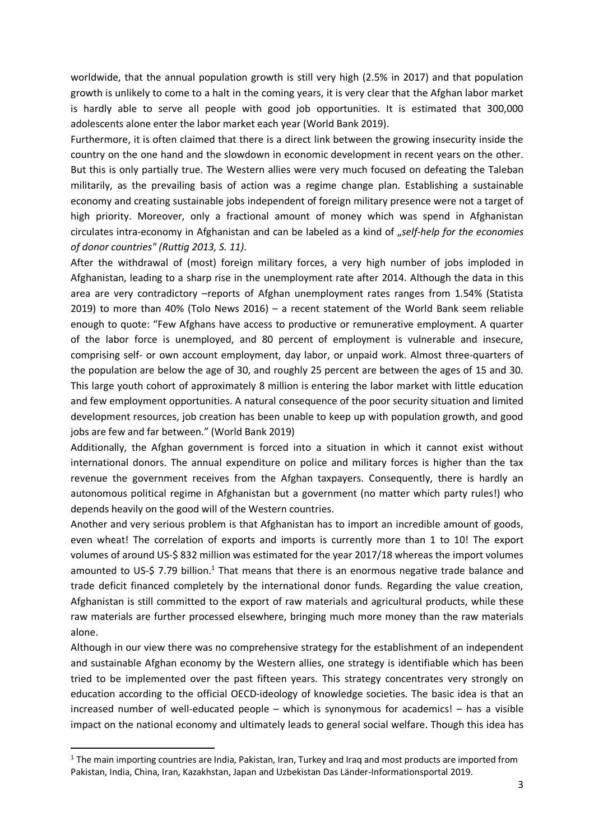worldwide, that the annual population growth is still very high (2.5% in 2017) and that population growth is unlikely to come to a halt in the coming years, it is very clear that the Afghan labor market is hardly able to serve all people with good job opportunities. It is estimated that 300,000 adolescents alone enter the labor market each year (World Bank 2019).

Furthermore, it is often claimed that there is a direct link between the growing insecurity inside the country on the one hand and the slowdown in economic development in recent years on the other. But this is only partially true. The Western allies were very much focused on defeating the Taleban militarily, as the prevailing basis of action was a regime change plan. Establishing a sustainable economy and creating sustainable jobs independent of foreign military presence were not a target of high priority. Moreover, only a fractional amount of money which was spend in Afghanistan circulates intra-economy in Afghanistan and can be labeled as a kind of "*self-help for the economies of donor countries" (Ruttig 2013, S. 11)*.

After the withdrawal of (most) foreign military forces, a very high number of jobs imploded in Afghanistan, leading to a sharp rise in the unemployment rate after 2014. Although the data in this area are very contradictory –reports of Afghan unemployment rates ranges from 1.54% (Statista 2019) to more than 40% (Tolo News 2016) – a recent statement of the World Bank seem reliable enough to quote: "Few Afghans have access to productive or remunerative employment. A quarter of the labor force is unemployed, and 80 percent of employment is vulnerable and insecure, comprising self- or own account employment, day labor, or unpaid work. Almost three-quarters of the population are below the age of 30, and roughly 25 percent are between the ages of 15 and 30. This large youth cohort of approximately 8 million is entering the labor market with little education and few employment opportunities. A natural consequence of the poor security situation and limited development resources, job creation has been unable to keep up with population growth, and good jobs are few and far between." (World Bank 2019)

Additionally, the Afghan government is forced into a situation in which it cannot exist without international donors. The annual expenditure on police and military forces is higher than the tax revenue the government receives from the Afghan taxpayers. Consequently, there is hardly an autonomous political regime in Afghanistan but a government (no matter which party rules!) who depends heavily on the good will of the Western countries.

Another and very serious problem is that Afghanistan has to import an incredible amount of goods, even wheat! The correlation of exports and imports is currently more than 1 to 10! The export volumes of around US-\$ 832 million was estimated for the year 2017/18 whereas the import volumes amounted to US-\$ 7.79 billion.<sup>1</sup> That means that there is an enormous negative trade balance and trade deficit financed completely by the international donor funds. Regarding the value creation, Afghanistan is still committed to the export of raw materials and agricultural products, while these raw materials are further processed elsewhere, bringing much more money than the raw materials alone.

Although in our view there was no comprehensive strategy for the establishment of an independent and sustainable Afghan economy by the Western allies, one strategy is identifiable which has been tried to be implemented over the past fifteen years. This strategy concentrates very strongly on education according to the official OECD-ideology of knowledge societies. The basic idea is that an increased number of well-educated people – which is synonymous for academics! – has a visible impact on the national economy and ultimately leads to general social welfare. Though this idea has

<sup>&</sup>lt;sup>1</sup> The main importing countries are India, Pakistan, Iran, Turkey and Iraq and most products are imported from Pakistan, India, China, Iran, Kazakhstan, Japan and Uzbekistan Das Länder-Informationsportal 2019.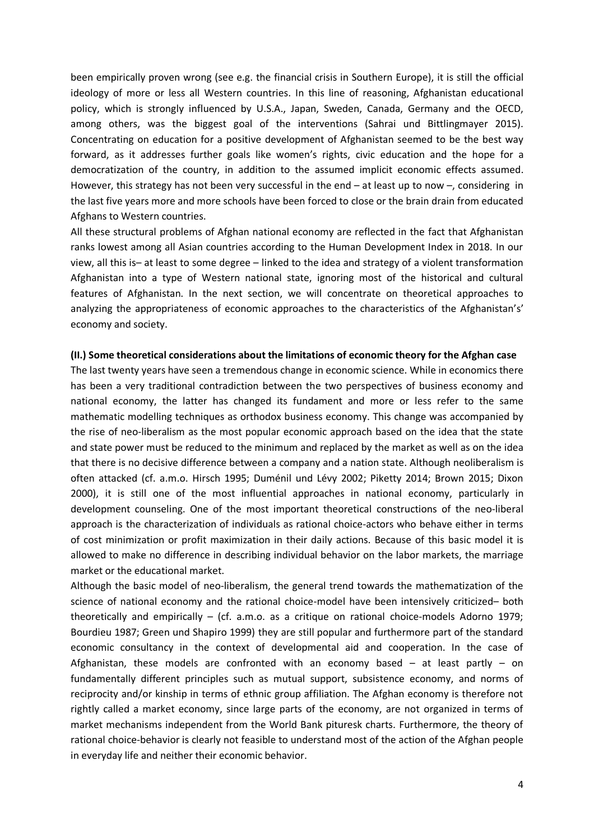been empirically proven wrong (see e.g. the financial crisis in Southern Europe), it is still the official ideology of more or less all Western countries. In this line of reasoning, Afghanistan educational policy, which is strongly influenced by U.S.A., Japan, Sweden, Canada, Germany and the OECD, among others, was the biggest goal of the interventions (Sahrai und Bittlingmayer 2015). Concentrating on education for a positive development of Afghanistan seemed to be the best way forward, as it addresses further goals like women's rights, civic education and the hope for a democratization of the country, in addition to the assumed implicit economic effects assumed. However, this strategy has not been very successful in the end  $-$  at least up to now  $-$ , considering in the last five years more and more schools have been forced to close or the brain drain from educated Afghans to Western countries.

All these structural problems of Afghan national economy are reflected in the fact that Afghanistan ranks lowest among all Asian countries according to the Human Development Index in 2018. In our view, all this is– at least to some degree – linked to the idea and strategy of a violent transformation Afghanistan into a type of Western national state, ignoring most of the historical and cultural features of Afghanistan. In the next section, we will concentrate on theoretical approaches to analyzing the appropriateness of economic approaches to the characteristics of the Afghanistan's' economy and society.

#### **(II.) Some theoretical considerations about the limitations of economic theory for the Afghan case**

The last twenty years have seen a tremendous change in economic science. While in economics there has been a very traditional contradiction between the two perspectives of business economy and national economy, the latter has changed its fundament and more or less refer to the same mathematic modelling techniques as orthodox business economy. This change was accompanied by the rise of neo-liberalism as the most popular economic approach based on the idea that the state and state power must be reduced to the minimum and replaced by the market as well as on the idea that there is no decisive difference between a company and a nation state. Although neoliberalism is often attacked (cf. a.m.o. Hirsch 1995; Duménil und Lévy 2002; Piketty 2014; Brown 2015; Dixon 2000), it is still one of the most influential approaches in national economy, particularly in development counseling. One of the most important theoretical constructions of the neo-liberal approach is the characterization of individuals as rational choice-actors who behave either in terms of cost minimization or profit maximization in their daily actions. Because of this basic model it is allowed to make no difference in describing individual behavior on the labor markets, the marriage market or the educational market.

Although the basic model of neo-liberalism, the general trend towards the mathematization of the science of national economy and the rational choice-model have been intensively criticized– both theoretically and empirically – (cf. a.m.o. as a critique on rational choice-models Adorno 1979; Bourdieu 1987; Green und Shapiro 1999) they are still popular and furthermore part of the standard economic consultancy in the context of developmental aid and cooperation. In the case of Afghanistan, these models are confronted with an economy based  $-$  at least partly  $-$  on fundamentally different principles such as mutual support, subsistence economy, and norms of reciprocity and/or kinship in terms of ethnic group affiliation. The Afghan economy is therefore not rightly called a market economy, since large parts of the economy, are not organized in terms of market mechanisms independent from the World Bank pituresk charts. Furthermore, the theory of rational choice-behavior is clearly not feasible to understand most of the action of the Afghan people in everyday life and neither their economic behavior.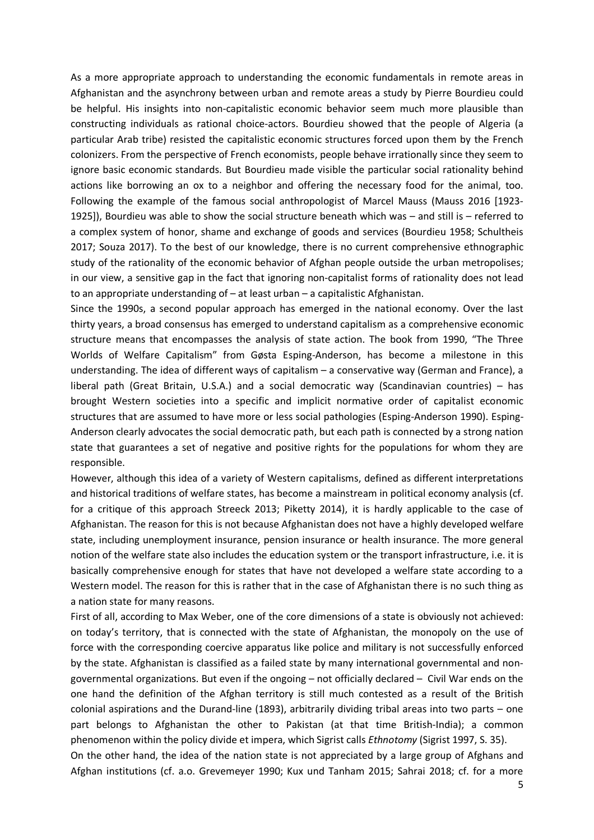As a more appropriate approach to understanding the economic fundamentals in remote areas in Afghanistan and the asynchrony between urban and remote areas a study by Pierre Bourdieu could be helpful. His insights into non-capitalistic economic behavior seem much more plausible than constructing individuals as rational choice-actors. Bourdieu showed that the people of Algeria (a particular Arab tribe) resisted the capitalistic economic structures forced upon them by the French colonizers. From the perspective of French economists, people behave irrationally since they seem to ignore basic economic standards. But Bourdieu made visible the particular social rationality behind actions like borrowing an ox to a neighbor and offering the necessary food for the animal, too. Following the example of the famous social anthropologist of Marcel Mauss (Mauss 2016 [1923- 1925]), Bourdieu was able to show the social structure beneath which was – and still is – referred to a complex system of honor, shame and exchange of goods and services (Bourdieu 1958; Schultheis 2017; Souza 2017). To the best of our knowledge, there is no current comprehensive ethnographic study of the rationality of the economic behavior of Afghan people outside the urban metropolises; in our view, a sensitive gap in the fact that ignoring non-capitalist forms of rationality does not lead to an appropriate understanding of – at least urban – a capitalistic Afghanistan.

Since the 1990s, a second popular approach has emerged in the national economy. Over the last thirty years, a broad consensus has emerged to understand capitalism as a comprehensive economic structure means that encompasses the analysis of state action. The book from 1990, "The Three Worlds of Welfare Capitalism" from Gøsta Esping-Anderson, has become a milestone in this understanding. The idea of different ways of capitalism – a conservative way (German and France), a liberal path (Great Britain, U.S.A.) and a social democratic way (Scandinavian countries) – has brought Western societies into a specific and implicit normative order of capitalist economic structures that are assumed to have more or less social pathologies (Esping-Anderson 1990). Esping-Anderson clearly advocates the social democratic path, but each path is connected by a strong nation state that guarantees a set of negative and positive rights for the populations for whom they are responsible.

However, although this idea of a variety of Western capitalisms, defined as different interpretations and historical traditions of welfare states, has become a mainstream in political economy analysis (cf. for a critique of this approach Streeck 2013; Piketty 2014), it is hardly applicable to the case of Afghanistan. The reason for this is not because Afghanistan does not have a highly developed welfare state, including unemployment insurance, pension insurance or health insurance. The more general notion of the welfare state also includes the education system or the transport infrastructure, i.e. it is basically comprehensive enough for states that have not developed a welfare state according to a Western model. The reason for this is rather that in the case of Afghanistan there is no such thing as a nation state for many reasons.

First of all, according to Max Weber, one of the core dimensions of a state is obviously not achieved: on today's territory, that is connected with the state of Afghanistan, the monopoly on the use of force with the corresponding coercive apparatus like police and military is not successfully enforced by the state. Afghanistan is classified as a failed state by many international governmental and nongovernmental organizations. But even if the ongoing – not officially declared – Civil War ends on the one hand the definition of the Afghan territory is still much contested as a result of the British colonial aspirations and the Durand-line (1893), arbitrarily dividing tribal areas into two parts – one part belongs to Afghanistan the other to Pakistan (at that time British-India); a common phenomenon within the policy divide et impera, which Sigrist calls *Ethnotomy* (Sigrist 1997, S. 35).

On the other hand, the idea of the nation state is not appreciated by a large group of Afghans and Afghan institutions (cf. a.o. Grevemeyer 1990; Kux und Tanham 2015; Sahrai 2018; cf. for a more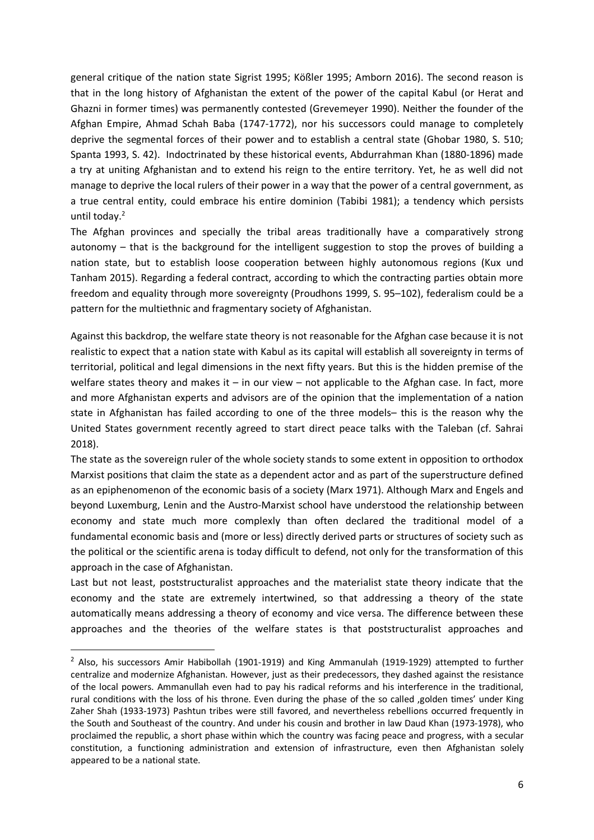general critique of the nation state Sigrist 1995; Kößler 1995; Amborn 2016). The second reason is that in the long history of Afghanistan the extent of the power of the capital Kabul (or Herat and Ghazni in former times) was permanently contested (Grevemeyer 1990). Neither the founder of the Afghan Empire, Ahmad Schah Baba (1747-1772), nor his successors could manage to completely deprive the segmental forces of their power and to establish a central state (Ghobar 1980, S. 510; Spanta 1993, S. 42). Indoctrinated by these historical events, Abdurrahman Khan (1880-1896) made a try at uniting Afghanistan and to extend his reign to the entire territory. Yet, he as well did not manage to deprive the local rulers of their power in a way that the power of a central government, as a true central entity, could embrace his entire dominion (Tabibi 1981); a tendency which persists until today.<sup>2</sup>

The Afghan provinces and specially the tribal areas traditionally have a comparatively strong autonomy – that is the background for the intelligent suggestion to stop the proves of building a nation state, but to establish loose cooperation between highly autonomous regions (Kux und Tanham 2015). Regarding a federal contract, according to which the contracting parties obtain more freedom and equality through more sovereignty (Proudhons 1999, S. 95–102), federalism could be a pattern for the multiethnic and fragmentary society of Afghanistan.

Against this backdrop, the welfare state theory is not reasonable for the Afghan case because it is not realistic to expect that a nation state with Kabul as its capital will establish all sovereignty in terms of territorial, political and legal dimensions in the next fifty years. But this is the hidden premise of the welfare states theory and makes it – in our view – not applicable to the Afghan case. In fact, more and more Afghanistan experts and advisors are of the opinion that the implementation of a nation state in Afghanistan has failed according to one of the three models– this is the reason why the United States government recently agreed to start direct peace talks with the Taleban (cf. Sahrai 2018).

The state as the sovereign ruler of the whole society stands to some extent in opposition to orthodox Marxist positions that claim the state as a dependent actor and as part of the superstructure defined as an epiphenomenon of the economic basis of a society (Marx 1971). Although Marx and Engels and beyond Luxemburg, Lenin and the Austro-Marxist school have understood the relationship between economy and state much more complexly than often declared the traditional model of a fundamental economic basis and (more or less) directly derived parts or structures of society such as the political or the scientific arena is today difficult to defend, not only for the transformation of this approach in the case of Afghanistan.

Last but not least, poststructuralist approaches and the materialist state theory indicate that the economy and the state are extremely intertwined, so that addressing a theory of the state automatically means addressing a theory of economy and vice versa. The difference between these approaches and the theories of the welfare states is that poststructuralist approaches and

<sup>&</sup>lt;sup>2</sup> Also, his successors Amir Habibollah (1901-1919) and King Ammanulah (1919-1929) attempted to further centralize and modernize Afghanistan. However, just as their predecessors, they dashed against the resistance of the local powers. Ammanullah even had to pay his radical reforms and his interference in the traditional, rural conditions with the loss of his throne. Even during the phase of the so called ,golden times' under King Zaher Shah (1933-1973) Pashtun tribes were still favored, and nevertheless rebellions occurred frequently in the South and Southeast of the country. And under his cousin and brother in law Daud Khan (1973-1978), who proclaimed the republic, a short phase within which the country was facing peace and progress, with a secular constitution, a functioning administration and extension of infrastructure, even then Afghanistan solely appeared to be a national state.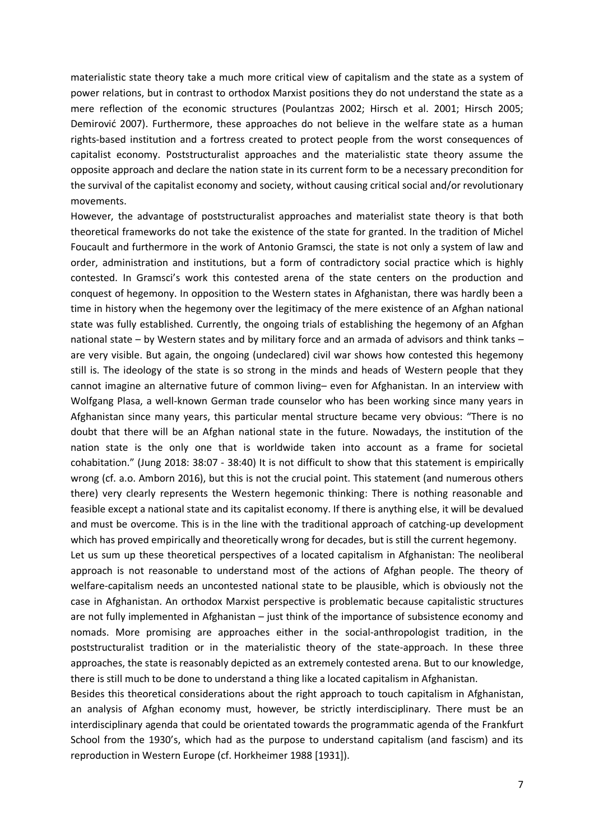materialistic state theory take a much more critical view of capitalism and the state as a system of power relations, but in contrast to orthodox Marxist positions they do not understand the state as a mere reflection of the economic structures (Poulantzas 2002; Hirsch et al. 2001; Hirsch 2005; Demirović 2007). Furthermore, these approaches do not believe in the welfare state as a human rights-based institution and a fortress created to protect people from the worst consequences of capitalist economy. Poststructuralist approaches and the materialistic state theory assume the opposite approach and declare the nation state in its current form to be a necessary precondition for the survival of the capitalist economy and society, without causing critical social and/or revolutionary movements.

However, the advantage of poststructuralist approaches and materialist state theory is that both theoretical frameworks do not take the existence of the state for granted. In the tradition of Michel Foucault and furthermore in the work of Antonio Gramsci, the state is not only a system of law and order, administration and institutions, but a form of contradictory social practice which is highly contested. In Gramsci's work this contested arena of the state centers on the production and conquest of hegemony. In opposition to the Western states in Afghanistan, there was hardly been a time in history when the hegemony over the legitimacy of the mere existence of an Afghan national state was fully established. Currently, the ongoing trials of establishing the hegemony of an Afghan national state – by Western states and by military force and an armada of advisors and think tanks – are very visible. But again, the ongoing (undeclared) civil war shows how contested this hegemony still is. The ideology of the state is so strong in the minds and heads of Western people that they cannot imagine an alternative future of common living– even for Afghanistan. In an interview with Wolfgang Plasa, a well-known German trade counselor who has been working since many years in Afghanistan since many years, this particular mental structure became very obvious: "There is no doubt that there will be an Afghan national state in the future. Nowadays, the institution of the nation state is the only one that is worldwide taken into account as a frame for societal cohabitation." (Jung 2018: 38:07 - 38:40) It is not difficult to show that this statement is empirically wrong (cf. a.o. Amborn 2016), but this is not the crucial point. This statement (and numerous others there) very clearly represents the Western hegemonic thinking: There is nothing reasonable and feasible except a national state and its capitalist economy. If there is anything else, it will be devalued and must be overcome. This is in the line with the traditional approach of catching-up development which has proved empirically and theoretically wrong for decades, but is still the current hegemony.

Let us sum up these theoretical perspectives of a located capitalism in Afghanistan: The neoliberal approach is not reasonable to understand most of the actions of Afghan people. The theory of welfare-capitalism needs an uncontested national state to be plausible, which is obviously not the case in Afghanistan. An orthodox Marxist perspective is problematic because capitalistic structures are not fully implemented in Afghanistan – just think of the importance of subsistence economy and nomads. More promising are approaches either in the social-anthropologist tradition, in the poststructuralist tradition or in the materialistic theory of the state-approach. In these three approaches, the state is reasonably depicted as an extremely contested arena. But to our knowledge, there is still much to be done to understand a thing like a located capitalism in Afghanistan.

Besides this theoretical considerations about the right approach to touch capitalism in Afghanistan, an analysis of Afghan economy must, however, be strictly interdisciplinary. There must be an interdisciplinary agenda that could be orientated towards the programmatic agenda of the Frankfurt School from the 1930's, which had as the purpose to understand capitalism (and fascism) and its reproduction in Western Europe (cf. Horkheimer 1988 [1931]).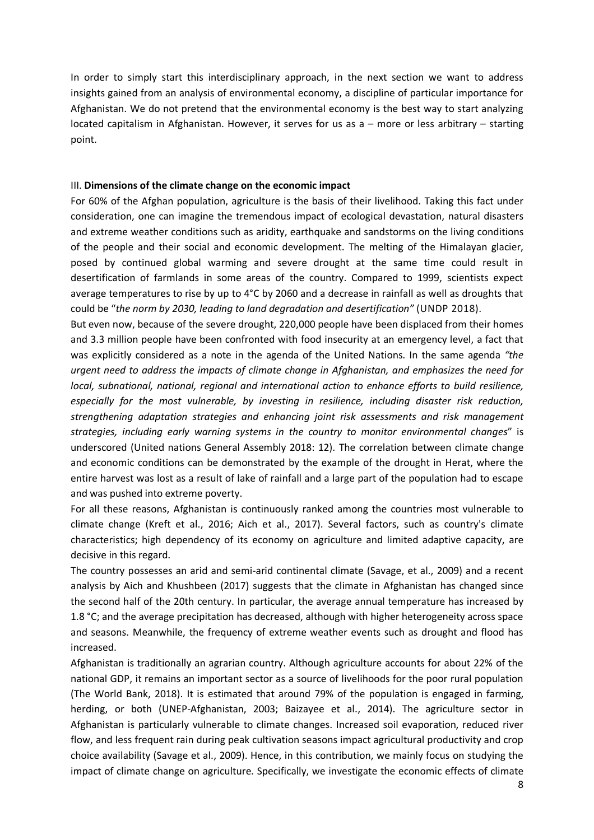In order to simply start this interdisciplinary approach, in the next section we want to address insights gained from an analysis of environmental economy, a discipline of particular importance for Afghanistan. We do not pretend that the environmental economy is the best way to start analyzing located capitalism in Afghanistan. However, it serves for us as a – more or less arbitrary – starting point.

#### III. **Dimensions of the climate change on the economic impact**

For 60% of the Afghan population, agriculture is the basis of their livelihood. Taking this fact under consideration, one can imagine the tremendous impact of ecological devastation, natural disasters and extreme weather conditions such as aridity, earthquake and sandstorms on the living conditions of the people and their social and economic development. The melting of the Himalayan glacier, posed by continued global warming and severe drought at the same time could result in desertification of farmlands in some areas of the country. Compared to 1999, scientists expect average temperatures to rise by up to 4°C by 2060 and a decrease in rainfall as well as droughts that could be "*the norm by 2030, leading to land degradation and desertification"* (UNDP 2018).

But even now, because of the severe drought, 220,000 people have been displaced from their homes and 3.3 million people have been confronted with food insecurity at an emergency level, a fact that was explicitly considered as a note in the agenda of the United Nations. In the same agenda *"the urgent need to address the impacts of climate change in Afghanistan, and emphasizes the need for local, subnational, national, regional and international action to enhance efforts to build resilience, especially for the most vulnerable, by investing in resilience, including disaster risk reduction, strengthening adaptation strategies and enhancing joint risk assessments and risk management strategies, including early warning systems in the country to monitor environmental changes*" is underscored (United nations General Assembly 2018: 12). The correlation between climate change and economic conditions can be demonstrated by the example of the drought in Herat, where the entire harvest was lost as a result of lake of rainfall and a large part of the population had to escape and was pushed into extreme poverty.

For all these reasons, Afghanistan is continuously ranked among the countries most vulnerable to climate change (Kreft et al., 2016; Aich et al., 2017). Several factors, such as country's climate characteristics; high dependency of its economy on agriculture and limited adaptive capacity, are decisive in this regard.

The country possesses an arid and semi-arid continental climate (Savage, et al., 2009) and a recent analysis by Aich and Khushbeen (2017) suggests that the climate in Afghanistan has changed since the second half of the 20th century. In particular, the average annual temperature has increased by 1.8 °C; and the average precipitation has decreased, although with higher heterogeneity across space and seasons. Meanwhile, the frequency of extreme weather events such as drought and flood has increased.

Afghanistan is traditionally an agrarian country. Although agriculture accounts for about 22% of the national GDP, it remains an important sector as a source of livelihoods for the poor rural population (The World Bank, 2018). It is estimated that around 79% of the population is engaged in farming, herding, or both (UNEP-Afghanistan, 2003; Baizayee et al., 2014). The agriculture sector in Afghanistan is particularly vulnerable to climate changes. Increased soil evaporation, reduced river flow, and less frequent rain during peak cultivation seasons impact agricultural productivity and crop choice availability (Savage et al., 2009). Hence, in this contribution, we mainly focus on studying the impact of climate change on agriculture. Specifically, we investigate the economic effects of climate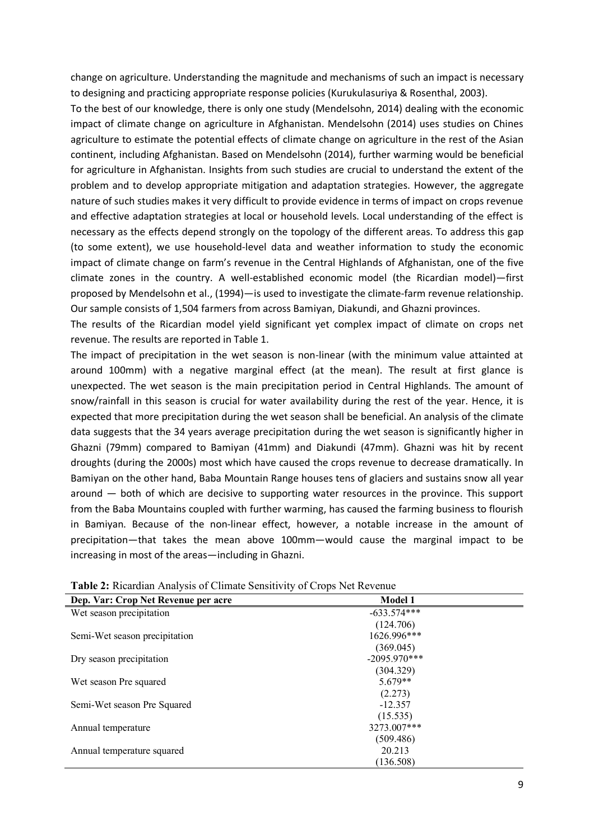change on agriculture. Understanding the magnitude and mechanisms of such an impact is necessary to designing and practicing appropriate response policies (Kurukulasuriya & Rosenthal, 2003).

To the best of our knowledge, there is only one study (Mendelsohn, 2014) dealing with the economic impact of climate change on agriculture in Afghanistan. Mendelsohn (2014) uses studies on Chines agriculture to estimate the potential effects of climate change on agriculture in the rest of the Asian continent, including Afghanistan. Based on Mendelsohn (2014), further warming would be beneficial for agriculture in Afghanistan. Insights from such studies are crucial to understand the extent of the problem and to develop appropriate mitigation and adaptation strategies. However, the aggregate nature of such studies makes it very difficult to provide evidence in terms of impact on crops revenue and effective adaptation strategies at local or household levels. Local understanding of the effect is necessary as the effects depend strongly on the topology of the different areas. To address this gap (to some extent), we use household-level data and weather information to study the economic impact of climate change on farm's revenue in the Central Highlands of Afghanistan, one of the five climate zones in the country. A well-established economic model (the Ricardian model)—first proposed by Mendelsohn et al., (1994)—is used to investigate the climate-farm revenue relationship. Our sample consists of 1,504 farmers from across Bamiyan, Diakundi, and Ghazni provinces.

The results of the Ricardian model yield significant yet complex impact of climate on crops net revenue. The results are reported in Table 1.

The impact of precipitation in the wet season is non-linear (with the minimum value attainted at around 100mm) with a negative marginal effect (at the mean). The result at first glance is unexpected. The wet season is the main precipitation period in Central Highlands. The amount of snow/rainfall in this season is crucial for water availability during the rest of the year. Hence, it is expected that more precipitation during the wet season shall be beneficial. An analysis of the climate data suggests that the 34 years average precipitation during the wet season is significantly higher in Ghazni (79mm) compared to Bamiyan (41mm) and Diakundi (47mm). Ghazni was hit by recent droughts (during the 2000s) most which have caused the crops revenue to decrease dramatically. In Bamiyan on the other hand, Baba Mountain Range houses tens of glaciers and sustains snow all year around — both of which are decisive to supporting water resources in the province. This support from the Baba Mountains coupled with further warming, has caused the farming business to flourish in Bamiyan. Because of the non-linear effect, however, a notable increase in the amount of precipitation—that takes the mean above 100mm—would cause the marginal impact to be increasing in most of the areas—including in Ghazni.

| Dep. Var: Crop Net Revenue per acre | <b>Model 1</b> |  |
|-------------------------------------|----------------|--|
| Wet season precipitation            | $-633.574***$  |  |
|                                     | (124.706)      |  |
| Semi-Wet season precipitation       | 1626.996***    |  |
|                                     | (369.045)      |  |
| Dry season precipitation            | $-2095.970***$ |  |
|                                     | (304.329)      |  |
| Wet season Pre squared              | $5.679**$      |  |
|                                     | (2.273)        |  |
| Semi-Wet season Pre Squared         | $-12.357$      |  |
|                                     | (15.535)       |  |
| Annual temperature                  | 3273.007***    |  |
|                                     | (509.486)      |  |
| Annual temperature squared          | 20.213         |  |
|                                     | (136.508)      |  |

**Table 2:** Ricardian Analysis of Climate Sensitivity of Crops Net Revenue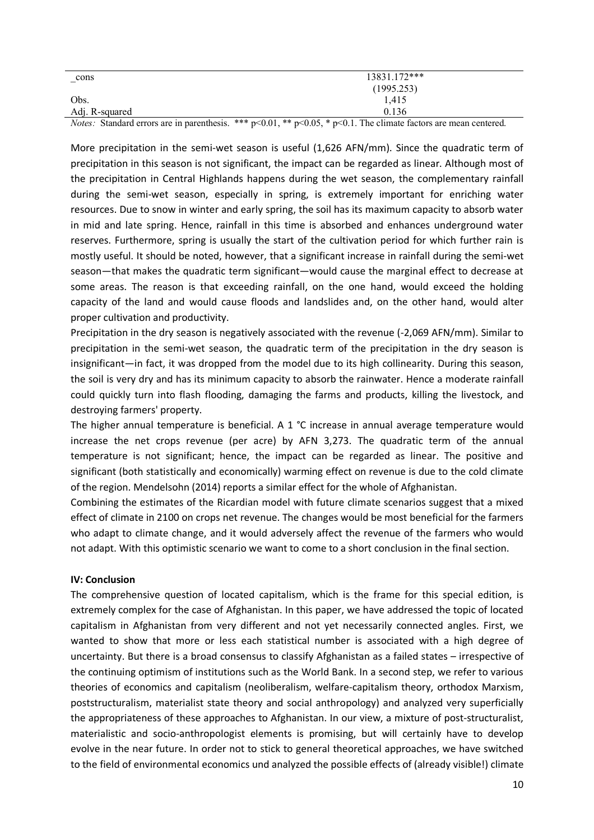| cons           | 13831.172*** |
|----------------|--------------|
|                | (1995.253)   |
| Obs.           | 1.415        |
| Adj. R-squared | 0.136        |
| $\mathbf{r}$   |              |

*Notes:* Standard errors are in parenthesis. \*\*\* p<0.01, \*\* p<0.05, \* p<0.1. The climate factors are mean centered.

More precipitation in the semi-wet season is useful (1,626 AFN/mm). Since the quadratic term of precipitation in this season is not significant, the impact can be regarded as linear. Although most of the precipitation in Central Highlands happens during the wet season, the complementary rainfall during the semi-wet season, especially in spring, is extremely important for enriching water resources. Due to snow in winter and early spring, the soil has its maximum capacity to absorb water in mid and late spring. Hence, rainfall in this time is absorbed and enhances underground water reserves. Furthermore, spring is usually the start of the cultivation period for which further rain is mostly useful. It should be noted, however, that a significant increase in rainfall during the semi-wet season—that makes the quadratic term significant—would cause the marginal effect to decrease at some areas. The reason is that exceeding rainfall, on the one hand, would exceed the holding capacity of the land and would cause floods and landslides and, on the other hand, would alter proper cultivation and productivity.

Precipitation in the dry season is negatively associated with the revenue (-2,069 AFN/mm). Similar to precipitation in the semi-wet season, the quadratic term of the precipitation in the dry season is insignificant—in fact, it was dropped from the model due to its high collinearity. During this season, the soil is very dry and has its minimum capacity to absorb the rainwater. Hence a moderate rainfall could quickly turn into flash flooding, damaging the farms and products, killing the livestock, and destroying farmers' property.

The higher annual temperature is beneficial. A 1 °C increase in annual average temperature would increase the net crops revenue (per acre) by AFN 3,273. The quadratic term of the annual temperature is not significant; hence, the impact can be regarded as linear. The positive and significant (both statistically and economically) warming effect on revenue is due to the cold climate of the region. Mendelsohn (2014) reports a similar effect for the whole of Afghanistan.

Combining the estimates of the Ricardian model with future climate scenarios suggest that a mixed effect of climate in 2100 on crops net revenue. The changes would be most beneficial for the farmers who adapt to climate change, and it would adversely affect the revenue of the farmers who would not adapt. With this optimistic scenario we want to come to a short conclusion in the final section.

### **IV: Conclusion**

The comprehensive question of located capitalism, which is the frame for this special edition, is extremely complex for the case of Afghanistan. In this paper, we have addressed the topic of located capitalism in Afghanistan from very different and not yet necessarily connected angles. First, we wanted to show that more or less each statistical number is associated with a high degree of uncertainty. But there is a broad consensus to classify Afghanistan as a failed states – irrespective of the continuing optimism of institutions such as the World Bank. In a second step, we refer to various theories of economics and capitalism (neoliberalism, welfare-capitalism theory, orthodox Marxism, poststructuralism, materialist state theory and social anthropology) and analyzed very superficially the appropriateness of these approaches to Afghanistan. In our view, a mixture of post-structuralist, materialistic and socio-anthropologist elements is promising, but will certainly have to develop evolve in the near future. In order not to stick to general theoretical approaches, we have switched to the field of environmental economics und analyzed the possible effects of (already visible!) climate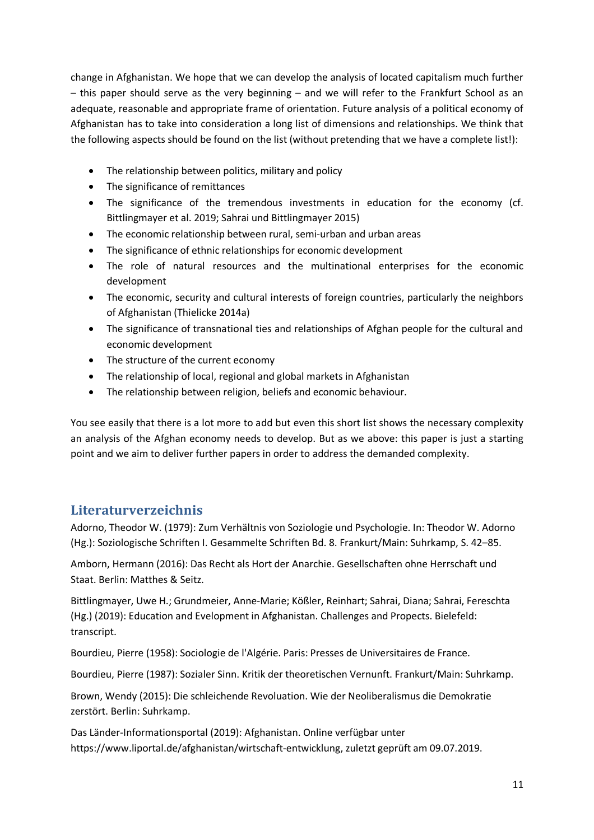change in Afghanistan. We hope that we can develop the analysis of located capitalism much further – this paper should serve as the very beginning – and we will refer to the Frankfurt School as an adequate, reasonable and appropriate frame of orientation. Future analysis of a political economy of Afghanistan has to take into consideration a long list of dimensions and relationships. We think that the following aspects should be found on the list (without pretending that we have a complete list!):

- The relationship between politics, military and policy
- The significance of remittances
- The significance of the tremendous investments in education for the economy (cf. Bittlingmayer et al. 2019; Sahrai und Bittlingmayer 2015)
- The economic relationship between rural, semi-urban and urban areas
- The significance of ethnic relationships for economic development
- The role of natural resources and the multinational enterprises for the economic development
- The economic, security and cultural interests of foreign countries, particularly the neighbors of Afghanistan (Thielicke 2014a)
- The significance of transnational ties and relationships of Afghan people for the cultural and economic development
- The structure of the current economy
- The relationship of local, regional and global markets in Afghanistan
- The relationship between religion, beliefs and economic behaviour.

You see easily that there is a lot more to add but even this short list shows the necessary complexity an analysis of the Afghan economy needs to develop. But as we above: this paper is just a starting point and we aim to deliver further papers in order to address the demanded complexity.

# **Literaturverzeichnis**

Adorno, Theodor W. (1979): Zum Verhältnis von Soziologie und Psychologie. In: Theodor W. Adorno (Hg.): Soziologische Schriften I. Gesammelte Schriften Bd. 8. Frankurt/Main: Suhrkamp, S. 42–85.

Amborn, Hermann (2016): Das Recht als Hort der Anarchie. Gesellschaften ohne Herrschaft und Staat. Berlin: Matthes & Seitz.

Bittlingmayer, Uwe H.; Grundmeier, Anne-Marie; Kößler, Reinhart; Sahrai, Diana; Sahrai, Fereschta (Hg.) (2019): Education and Evelopment in Afghanistan. Challenges and Propects. Bielefeld: transcript.

Bourdieu, Pierre (1958): Sociologie de l'Algérie. Paris: Presses de Universitaires de France.

Bourdieu, Pierre (1987): Sozialer Sinn. Kritik der theoretischen Vernunft. Frankurt/Main: Suhrkamp.

Brown, Wendy (2015): Die schleichende Revoluation. Wie der Neoliberalismus die Demokratie zerstört. Berlin: Suhrkamp.

Das Länder-Informationsportal (2019): Afghanistan. Online verfügbar unter https://www.liportal.de/afghanistan/wirtschaft-entwicklung, zuletzt geprüft am 09.07.2019.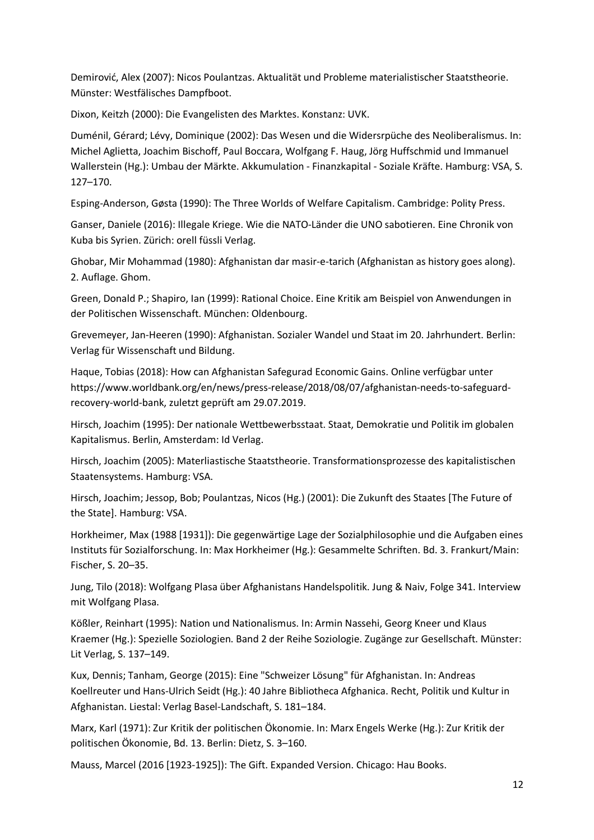Demirović, Alex (2007): Nicos Poulantzas. Aktualität und Probleme materialistischer Staatstheorie. Münster: Westfälisches Dampfboot.

Dixon, Keitzh (2000): Die Evangelisten des Marktes. Konstanz: UVK.

Duménil, Gérard; Lévy, Dominique (2002): Das Wesen und die Widersrpüche des Neoliberalismus. In: Michel Aglietta, Joachim Bischoff, Paul Boccara, Wolfgang F. Haug, Jörg Huffschmid und Immanuel Wallerstein (Hg.): Umbau der Märkte. Akkumulation - Finanzkapital - Soziale Kräfte. Hamburg: VSA, S. 127–170.

Esping-Anderson, Gøsta (1990): The Three Worlds of Welfare Capitalism. Cambridge: Polity Press.

Ganser, Daniele (2016): Illegale Kriege. Wie die NATO-Länder die UNO sabotieren. Eine Chronik von Kuba bis Syrien. Zürich: orell füssli Verlag.

Ghobar, Mir Mohammad (1980): Afghanistan dar masir-e-tarich (Afghanistan as history goes along). 2. Auflage. Ghom.

Green, Donald P.; Shapiro, Ian (1999): Rational Choice. Eine Kritik am Beispiel von Anwendungen in der Politischen Wissenschaft. München: Oldenbourg.

Grevemeyer, Jan-Heeren (1990): Afghanistan. Sozialer Wandel und Staat im 20. Jahrhundert. Berlin: Verlag für Wissenschaft und Bildung.

Haque, Tobias (2018): How can Afghanistan Safegurad Economic Gains. Online verfügbar unter https://www.worldbank.org/en/news/press-release/2018/08/07/afghanistan-needs-to-safeguardrecovery-world-bank, zuletzt geprüft am 29.07.2019.

Hirsch, Joachim (1995): Der nationale Wettbewerbsstaat. Staat, Demokratie und Politik im globalen Kapitalismus. Berlin, Amsterdam: Id Verlag.

Hirsch, Joachim (2005): Materliastische Staatstheorie. Transformationsprozesse des kapitalistischen Staatensystems. Hamburg: VSA.

Hirsch, Joachim; Jessop, Bob; Poulantzas, Nicos (Hg.) (2001): Die Zukunft des Staates [The Future of the State]. Hamburg: VSA.

Horkheimer, Max (1988 [1931]): Die gegenwärtige Lage der Sozialphilosophie und die Aufgaben eines Instituts für Sozialforschung. In: Max Horkheimer (Hg.): Gesammelte Schriften. Bd. 3. Frankurt/Main: Fischer, S. 20–35.

Jung, Tilo (2018): Wolfgang Plasa über Afghanistans Handelspolitik. Jung & Naiv, Folge 341. Interview mit Wolfgang Plasa.

Kößler, Reinhart (1995): Nation und Nationalismus. In: Armin Nassehi, Georg Kneer und Klaus Kraemer (Hg.): Spezielle Soziologien. Band 2 der Reihe Soziologie. Zugänge zur Gesellschaft. Münster: Lit Verlag, S. 137–149.

Kux, Dennis; Tanham, George (2015): Eine "Schweizer Lösung" für Afghanistan. In: Andreas Koellreuter und Hans-Ulrich Seidt (Hg.): 40 Jahre Bibliotheca Afghanica. Recht, Politik und Kultur in Afghanistan. Liestal: Verlag Basel-Landschaft, S. 181–184.

Marx, Karl (1971): Zur Kritik der politischen Ökonomie. In: Marx Engels Werke (Hg.): Zur Kritik der politischen Ökonomie, Bd. 13. Berlin: Dietz, S. 3–160.

Mauss, Marcel (2016 [1923-1925]): The Gift. Expanded Version. Chicago: Hau Books.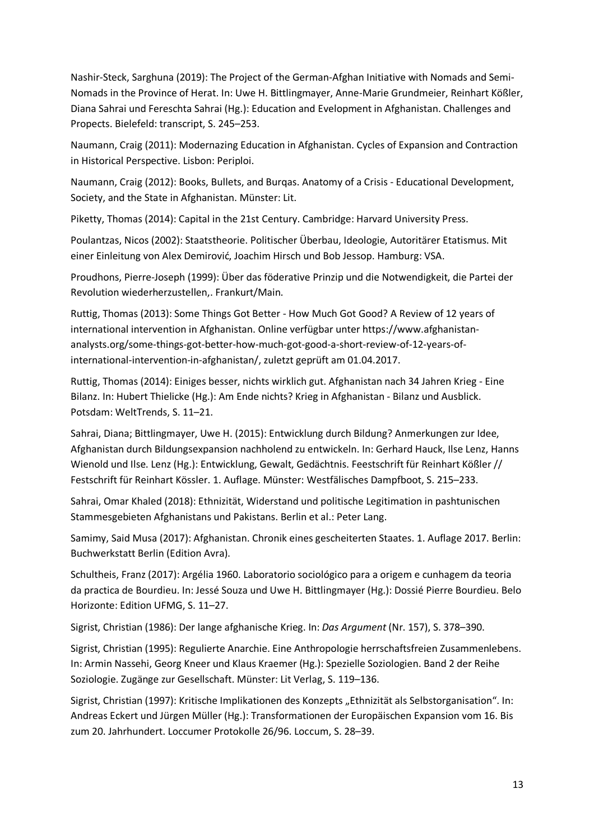Nashir-Steck, Sarghuna (2019): The Project of the German-Afghan Initiative with Nomads and Semi-Nomads in the Province of Herat. In: Uwe H. Bittlingmayer, Anne-Marie Grundmeier, Reinhart Kößler, Diana Sahrai und Fereschta Sahrai (Hg.): Education and Evelopment in Afghanistan. Challenges and Propects. Bielefeld: transcript, S. 245–253.

Naumann, Craig (2011): Modernazing Education in Afghanistan. Cycles of Expansion and Contraction in Historical Perspective. Lisbon: Periploi.

Naumann, Craig (2012): Books, Bullets, and Burqas. Anatomy of a Crisis - Educational Development, Society, and the State in Afghanistan. Münster: Lit.

Piketty, Thomas (2014): Capital in the 21st Century. Cambridge: Harvard University Press.

Poulantzas, Nicos (2002): Staatstheorie. Politischer Überbau, Ideologie, Autoritärer Etatismus. Mit einer Einleitung von Alex Demirović, Joachim Hirsch und Bob Jessop. Hamburg: VSA.

Proudhons, Pierre-Joseph (1999): Über das föderative Prinzip und die Notwendigkeit, die Partei der Revolution wiederherzustellen,. Frankurt/Main.

Ruttig, Thomas (2013): Some Things Got Better - How Much Got Good? A Review of 12 years of international intervention in Afghanistan. Online verfügbar unter https://www.afghanistananalysts.org/some-things-got-better-how-much-got-good-a-short-review-of-12-years-ofinternational-intervention-in-afghanistan/, zuletzt geprüft am 01.04.2017.

Ruttig, Thomas (2014): Einiges besser, nichts wirklich gut. Afghanistan nach 34 Jahren Krieg - Eine Bilanz. In: Hubert Thielicke (Hg.): Am Ende nichts? Krieg in Afghanistan - Bilanz und Ausblick. Potsdam: WeltTrends, S. 11–21.

Sahrai, Diana; Bittlingmayer, Uwe H. (2015): Entwicklung durch Bildung? Anmerkungen zur Idee, Afghanistan durch Bildungsexpansion nachholend zu entwickeln. In: Gerhard Hauck, Ilse Lenz, Hanns Wienold und Ilse. Lenz (Hg.): Entwicklung, Gewalt, Gedächtnis. Feestschrift für Reinhart Kößler // Festschrift für Reinhart Kössler. 1. Auflage. Münster: Westfälisches Dampfboot, S. 215–233.

Sahrai, Omar Khaled (2018): Ethnizität, Widerstand und politische Legitimation in pashtunischen Stammesgebieten Afghanistans und Pakistans. Berlin et al.: Peter Lang.

Samimy, Said Musa (2017): Afghanistan. Chronik eines gescheiterten Staates. 1. Auflage 2017. Berlin: Buchwerkstatt Berlin (Edition Avra).

Schultheis, Franz (2017): Argélia 1960. Laboratorio sociológico para a origem e cunhagem da teoria da practica de Bourdieu. In: Jessé Souza und Uwe H. Bittlingmayer (Hg.): Dossié Pierre Bourdieu. Belo Horizonte: Edition UFMG, S. 11–27.

Sigrist, Christian (1986): Der lange afghanische Krieg. In: *Das Argument* (Nr. 157), S. 378–390.

Sigrist, Christian (1995): Regulierte Anarchie. Eine Anthropologie herrschaftsfreien Zusammenlebens. In: Armin Nassehi, Georg Kneer und Klaus Kraemer (Hg.): Spezielle Soziologien. Band 2 der Reihe Soziologie. Zugänge zur Gesellschaft. Münster: Lit Verlag, S. 119–136.

Sigrist, Christian (1997): Kritische Implikationen des Konzepts "Ethnizität als Selbstorganisation". In: Andreas Eckert und Jürgen Müller (Hg.): Transformationen der Europäischen Expansion vom 16. Bis zum 20. Jahrhundert. Loccumer Protokolle 26/96. Loccum, S. 28–39.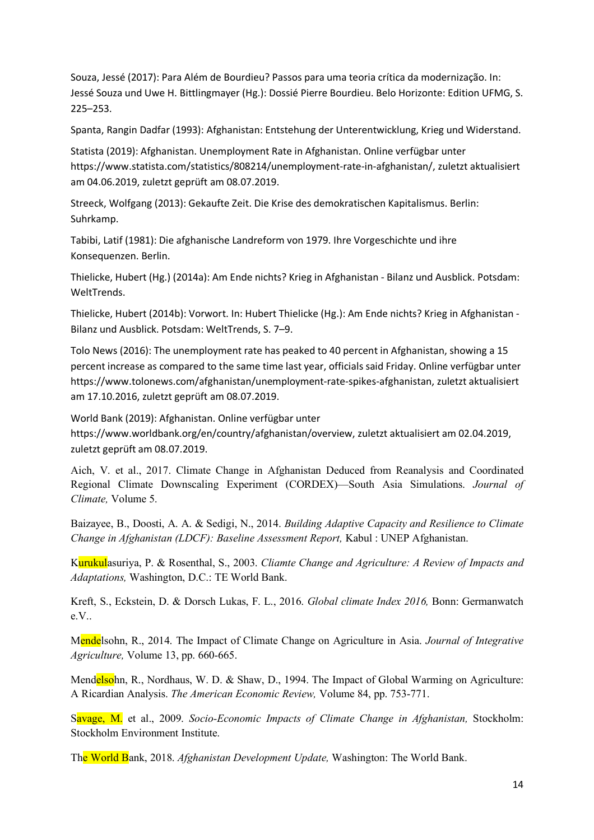Souza, Jessé (2017): Para Além de Bourdieu? Passos para uma teoria crítica da modernização. In: Jessé Souza und Uwe H. Bittlingmayer (Hg.): Dossié Pierre Bourdieu. Belo Horizonte: Edition UFMG, S. 225–253.

Spanta, Rangin Dadfar (1993): Afghanistan: Entstehung der Unterentwicklung, Krieg und Widerstand.

Statista (2019): Afghanistan. Unemployment Rate in Afghanistan. Online verfügbar unter https://www.statista.com/statistics/808214/unemployment-rate-in-afghanistan/, zuletzt aktualisiert am 04.06.2019, zuletzt geprüft am 08.07.2019.

Streeck, Wolfgang (2013): Gekaufte Zeit. Die Krise des demokratischen Kapitalismus. Berlin: Suhrkamp.

Tabibi, Latif (1981): Die afghanische Landreform von 1979. Ihre Vorgeschichte und ihre Konsequenzen. Berlin.

Thielicke, Hubert (Hg.) (2014a): Am Ende nichts? Krieg in Afghanistan - Bilanz und Ausblick. Potsdam: WeltTrends.

Thielicke, Hubert (2014b): Vorwort. In: Hubert Thielicke (Hg.): Am Ende nichts? Krieg in Afghanistan - Bilanz und Ausblick. Potsdam: WeltTrends, S. 7–9.

Tolo News (2016): The unemployment rate has peaked to 40 percent in Afghanistan, showing a 15 percent increase as compared to the same time last year, officials said Friday. Online verfügbar unter https://www.tolonews.com/afghanistan/unemployment-rate-spikes-afghanistan, zuletzt aktualisiert am 17.10.2016, zuletzt geprüft am 08.07.2019.

World Bank (2019): Afghanistan. Online verfügbar unter

https://www.worldbank.org/en/country/afghanistan/overview, zuletzt aktualisiert am 02.04.2019, zuletzt geprüft am 08.07.2019.

Aich, V. et al., 2017. Climate Change in Afghanistan Deduced from Reanalysis and Coordinated Regional Climate Downscaling Experiment (CORDEX)—South Asia Simulations. *Journal of Climate,* Volume 5.

Baizayee, B., Doosti, A. A. & Sedigi, N., 2014. *Building Adaptive Capacity and Resilience to Climate Change in Afghanistan (LDCF): Baseline Assessment Report,* Kabul : UNEP Afghanistan.

Kurukulasuriya, P. & Rosenthal, S., 2003. *Cliamte Change and Agriculture: A Review of Impacts and Adaptations,* Washington, D.C.: TE World Bank.

Kreft, S., Eckstein, D. & Dorsch Lukas, F. L., 2016. *Global climate Index 2016,* Bonn: Germanwatch e.V..

Mendelsohn, R., 2014. The Impact of Climate Change on Agriculture in Asia. *Journal of Integrative Agriculture,* Volume 13, pp. 660-665.

Mendelsohn, R., Nordhaus, W. D. & Shaw, D., 1994. The Impact of Global Warming on Agriculture: A Ricardian Analysis. *The American Economic Review,* Volume 84, pp. 753-771.

Savage, M. et al., 2009. *Socio-Economic Impacts of Climate Change in Afghanistan,* Stockholm: Stockholm Environment Institute.

The World Bank, 2018. *Afghanistan Development Update,* Washington: The World Bank.